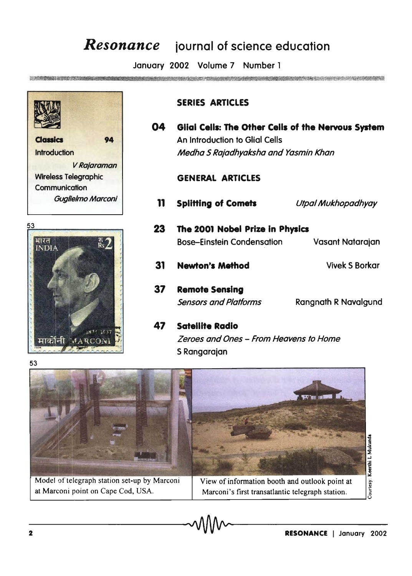## *Resonance* iournal of science education

January 2002 Volume 7 Number 1

**SECUREMENT AND SHOWNER ORD.** 



Classics Introduction V Rajaraman Wireless Telegraphic **Communication** Guglielmo Marconi



## SERIES ARTICLES

04 Glial Cells: The Other Cells of the Nervous System **94 An Introduction to Glial Cells** Medha S Raiadhyaksha and Yasmin Khan

## GENERAL ARTICLES

11 Splitting of Comets Utpal Mukhopadhyay 23 The 2001 Nobel Prize in Physics Bose-Einstein Condensation 31 Newton's Method 37 Remote Sensing Sensors and Platforms 47 Satellite Radio Vasant Natarajan Vivek 5 Borkar Rangnath R Navalgund Zeroes and Ones - From Heavens to Home



5 Rangarajan